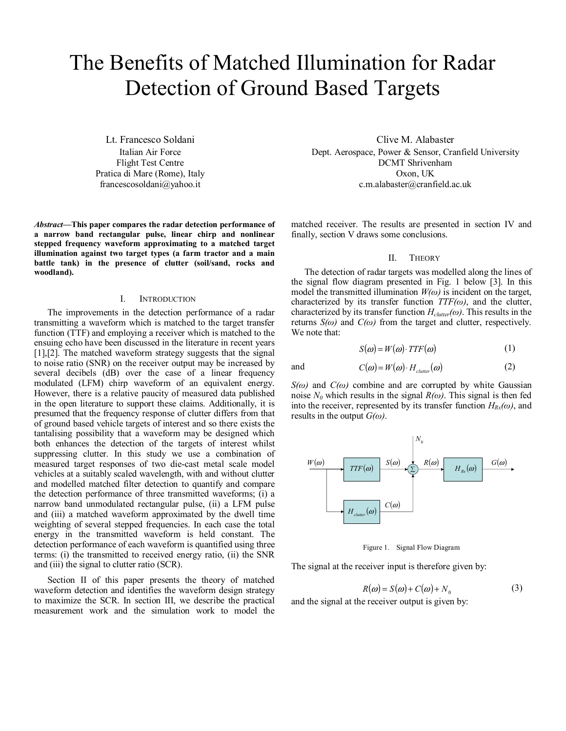# The Benefits of Matched Illumination for Radar Detection of Ground Based Targets

Lt. Francesco Soldani Italian Air Force Flight Test Centre Pratica di Mare (Rome), Italy francescosoldani@yahoo.it

*Abstract***—This paper compares the radar detection performance of a narrow band rectangular pulse, linear chirp and nonlinear stepped frequency waveform approximating to a matched target illumination against two target types (a farm tractor and a main battle tank) in the presence of clutter (soil/sand, rocks and woodland).** 

#### I. INTRODUCTION

The improvements in the detection performance of a radar transmitting a waveform which is matched to the target transfer function (TTF) and employing a receiver which is matched to the ensuing echo have been discussed in the literature in recent years [1], [2]. The matched waveform strategy suggests that the signal to noise ratio (SNR) on the receiver output may be increased by several decibels (dB) over the case of a linear frequency modulated (LFM) chirp waveform of an equivalent energy. However, there is a relative paucity of measured data published in the open literature to support these claims. Additionally, it is presumed that the frequency response of clutter differs from that of ground based vehicle targets of interest and so there exists the tantalising possibility that a waveform may be designed which both enhances the detection of the targets of interest whilst suppressing clutter. In this study we use a combination of measured target responses of two die-cast metal scale model vehicles at a suitably scaled wavelength, with and without clutter and modelled matched filter detection to quantify and compare the detection performance of three transmitted waveforms; (i) a narrow band unmodulated rectangular pulse, (ii) a LFM pulse and (iii) a matched waveform approximated by the dwell time weighting of several stepped frequencies. In each case the total energy in the transmitted waveform is held constant. The detection performance of each waveform is quantified using three terms: (i) the transmitted to received energy ratio, (ii) the SNR and (iii) the signal to clutter ratio (SCR).

Section II of this paper presents the theory of matched waveform detection and identifies the waveform design strategy to maximize the SCR. In section III, we describe the practical measurement work and the simulation work to model the

Clive M. Alabaster Dept. Aerospace, Power & Sensor, Cranfield University DCMT Shrivenham Oxon, UK c.m.alabaster@cranfield.ac.uk

matched receiver. The results are presented in section IV and finally, section V draws some conclusions.

#### II. THEORY

The detection of radar targets was modelled along the lines of the signal flow diagram presented in Fig. 1 below [3]. In this model the transmitted illumination  $W(\omega)$  is incident on the target, characterized by its transfer function  $TTF(\omega)$ , and the clutter, characterized by its transfer function *Hclutter(ω)*. This results in the returns  $S(\omega)$  and  $C(\omega)$  from the target and clutter, respectively. We note that:

$$
S(\omega) = W(\omega) \cdot TTF(\omega) \tag{1}
$$

and  $C(\omega) = W(\omega) \cdot H_{cluster}(\omega)$  (2)

*S(ω)* and *C(ω)* combine and are corrupted by white Gaussian noise  $N_0$  which results in the signal  $R(\omega)$ . This signal is then fed into the receiver, represented by its transfer function  $H_{Rx}(\omega)$ , and results in the output  $G(\omega)$ .



Figure 1. Signal Flow Diagram

The signal at the receiver input is therefore given by:

$$
R(\omega) = S(\omega) + C(\omega) + N_0 \tag{3}
$$

and the signal at the receiver output is given by: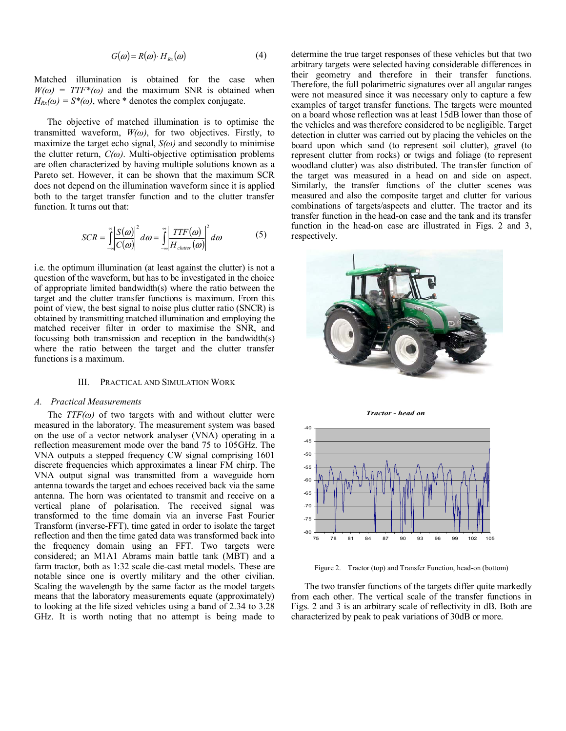$$
G(\omega) = R(\omega) \cdot H_{Rx}(\omega) \tag{4}
$$

Matched illumination is obtained for the case when  $W(\omega) = TTF^*(\omega)$  and the maximum SNR is obtained when  $H_{Rx}(\omega) = S^*(\omega)$ , where \* denotes the complex conjugate.

The objective of matched illumination is to optimise the transmitted waveform, *W(ω)*, for two objectives. Firstly, to maximize the target echo signal, *S(ω)* and secondly to minimise the clutter return, *C(ω)*. Multi-objective optimisation problems are often characterized by having multiple solutions known as a Pareto set. However, it can be shown that the maximum SCR does not depend on the illumination waveform since it is applied both to the target transfer function and to the clutter transfer function. It turns out that:

$$
SCR = \int_{-\infty}^{\infty} \left| \frac{S(\omega)}{C(\omega)} \right|^2 d\omega = \int_{-\infty}^{\infty} \left| \frac{TTF(\omega)}{H_{clutter}(\omega)} \right|^2 d\omega \tag{5}
$$

i.e. the optimum illumination (at least against the clutter) is not a question of the waveform, but has to be investigated in the choice of appropriate limited bandwidth(s) where the ratio between the target and the clutter transfer functions is maximum. From this point of view, the best signal to noise plus clutter ratio (SNCR) is obtained by transmitting matched illumination and employing the matched receiver filter in order to maximise the SNR, and focussing both transmission and reception in the bandwidth(s) where the ratio between the target and the clutter transfer functions is a maximum.

#### III. PRACTICAL AND SIMULATION WORK

### *A. Practical Measurements*

The  $TTF(\omega)$  of two targets with and without clutter were measured in the laboratory. The measurement system was based on the use of a vector network analyser (VNA) operating in a reflection measurement mode over the band 75 to 105GHz. The VNA outputs a stepped frequency CW signal comprising 1601 discrete frequencies which approximates a linear FM chirp. The VNA output signal was transmitted from a waveguide horn antenna towards the target and echoes received back via the same antenna. The horn was orientated to transmit and receive on a vertical plane of polarisation. The received signal was transformed to the time domain via an inverse Fast Fourier Transform (inverse-FFT), time gated in order to isolate the target reflection and then the time gated data was transformed back into the frequency domain using an FFT. Two targets were considered; an M1A1 Abrams main battle tank (MBT) and a farm tractor, both as 1:32 scale die-cast metal models. These are notable since one is overtly military and the other civilian. Scaling the wavelength by the same factor as the model targets means that the laboratory measurements equate (approximately) to looking at the life sized vehicles using a band of 2.34 to 3.28 GHz. It is worth noting that no attempt is being made to

determine the true target responses of these vehicles but that two arbitrary targets were selected having considerable differences in their geometry and therefore in their transfer functions. Therefore, the full polarimetric signatures over all angular ranges were not measured since it was necessary only to capture a few examples of target transfer functions. The targets were mounted on a board whose reflection was at least 15dB lower than those of the vehicles and was therefore considered to be negligible. Target detection in clutter was carried out by placing the vehicles on the board upon which sand (to represent soil clutter), gravel (to represent clutter from rocks) or twigs and foliage (to represent woodland clutter) was also distributed. The transfer function of the target was measured in a head on and side on aspect. Similarly, the transfer functions of the clutter scenes was measured and also the composite target and clutter for various combinations of targets/aspects and clutter. The tractor and its transfer function in the head-on case and the tank and its transfer function in the head-on case are illustrated in Figs. 2 and 3, respectively.



*Tractor - head on*



Figure 2. Tractor (top) and Transfer Function, head-on (bottom)

The two transfer functions of the targets differ quite markedly from each other. The vertical scale of the transfer functions in Figs. 2 and 3 is an arbitrary scale of reflectivity in dB. Both are characterized by peak to peak variations of 30dB or more.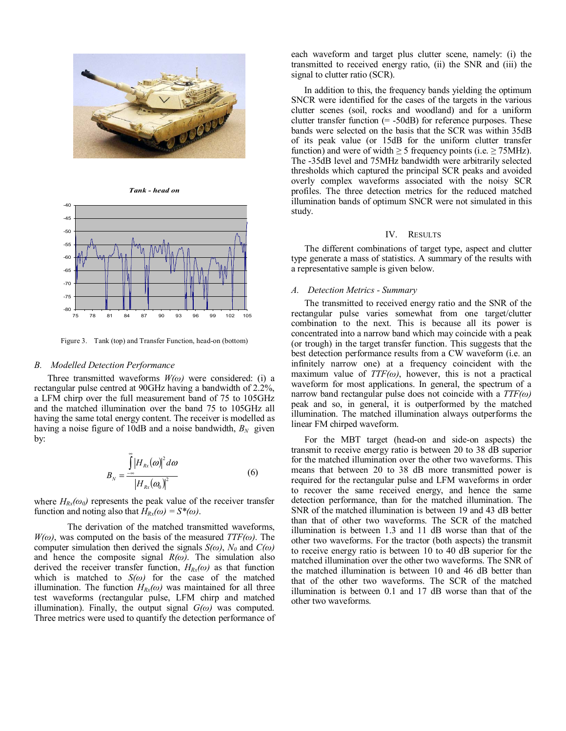

*Tank - head on*



Figure 3. Tank (top) and Transfer Function, head-on (bottom)

# *B. Modelled Detection Performance*

Three transmitted waveforms *W(ω)* were considered: (i) a rectangular pulse centred at 90GHz having a bandwidth of 2.2%, a LFM chirp over the full measurement band of 75 to 105GHz and the matched illumination over the band 75 to 105GHz all having the same total energy content. The receiver is modelled as having a noise figure of 10dB and a noise bandwidth,  $B_N$  given by:

$$
B_N = \frac{\int_{-\infty}^{\infty} |H_{Rx}(\omega)|^2 d\omega}{|H_{Rx}(\omega_0)|^2}
$$
 (6)

where  $H_{Rx}(\omega_0)$  represents the peak value of the receiver transfer function and noting also that  $H_{Rx}(\omega) = S^*(\omega)$ .

 The derivation of the matched transmitted waveforms,  $W(\omega)$ , was computed on the basis of the measured *TTF(* $\omega$ *)*. The computer simulation then derived the signals  $S(\omega)$ ,  $N_0$  and  $C(\omega)$ and hence the composite signal  $R(\omega)$ . The simulation also derived the receiver transfer function,  $H_{Rx}(\omega)$  as that function which is matched to  $S(\omega)$  for the case of the matched illumination. The function  $H_{Rx}(\omega)$  was maintained for all three test waveforms (rectangular pulse, LFM chirp and matched illumination). Finally, the output signal  $G(\omega)$  was computed. Three metrics were used to quantify the detection performance of each waveform and target plus clutter scene, namely: (i) the transmitted to received energy ratio, (ii) the SNR and (iii) the signal to clutter ratio (SCR).

In addition to this, the frequency bands yielding the optimum SNCR were identified for the cases of the targets in the various clutter scenes (soil, rocks and woodland) and for a uniform clutter transfer function  $(= -50dB)$  for reference purposes. These bands were selected on the basis that the SCR was within 35dB of its peak value (or 15dB for the uniform clutter transfer function) and were of width  $\geq$  5 frequency points (i.e.  $\geq$  75MHz). The -35dB level and 75MHz bandwidth were arbitrarily selected thresholds which captured the principal SCR peaks and avoided overly complex waveforms associated with the noisy SCR profiles. The three detection metrics for the reduced matched illumination bands of optimum SNCR were not simulated in this study.

### IV. RESULTS

The different combinations of target type, aspect and clutter type generate a mass of statistics. A summary of the results with a representative sample is given below.

# *A. Detection Metrics - Summary*

The transmitted to received energy ratio and the SNR of the rectangular pulse varies somewhat from one target/clutter combination to the next. This is because all its power is concentrated into a narrow band which may coincide with a peak (or trough) in the target transfer function. This suggests that the best detection performance results from a CW waveform (i.e. an infinitely narrow one) at a frequency coincident with the maximum value of *TTF(ω)*, however, this is not a practical waveform for most applications. In general, the spectrum of a narrow band rectangular pulse does not coincide with a *TTF(ω)* peak and so, in general, it is outperformed by the matched illumination. The matched illumination always outperforms the linear FM chirped waveform.

For the MBT target (head-on and side-on aspects) the transmit to receive energy ratio is between 20 to 38 dB superior for the matched illumination over the other two waveforms. This means that between 20 to 38 dB more transmitted power is required for the rectangular pulse and LFM waveforms in order to recover the same received energy, and hence the same detection performance, than for the matched illumination. The SNR of the matched illumination is between 19 and 43 dB better than that of other two waveforms. The SCR of the matched illumination is between 1.3 and 11 dB worse than that of the other two waveforms. For the tractor (both aspects) the transmit to receive energy ratio is between 10 to 40 dB superior for the matched illumination over the other two waveforms. The SNR of the matched illumination is between 10 and 46 dB better than that of the other two waveforms. The SCR of the matched illumination is between 0.1 and 17 dB worse than that of the other two waveforms.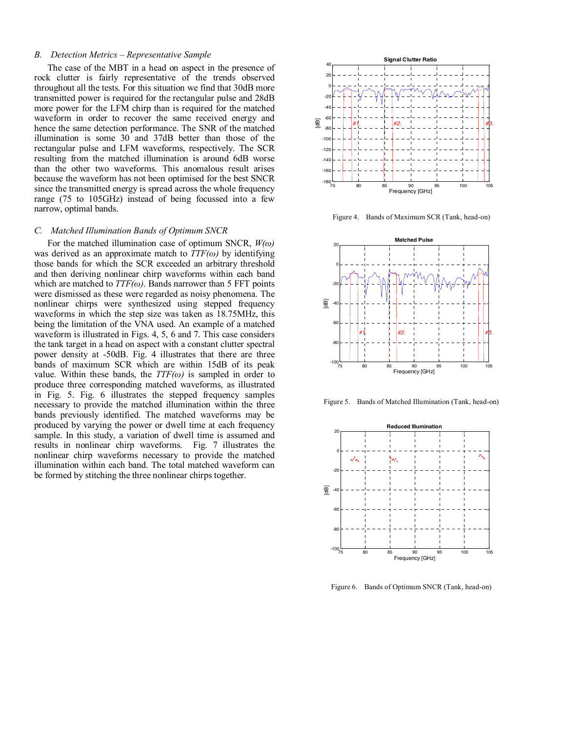## *B. Detection Metrics – Representative Sample*

The case of the MBT in a head on aspect in the presence of rock clutter is fairly representative of the trends observed throughout all the tests. For this situation we find that 30dB more transmitted power is required for the rectangular pulse and 28dB more power for the LFM chirp than is required for the matched waveform in order to recover the same received energy and hence the same detection performance. The SNR of the matched illumination is some 30 and 37dB better than those of the rectangular pulse and LFM waveforms, respectively. The SCR resulting from the matched illumination is around 6dB worse than the other two waveforms. This anomalous result arises because the waveform has not been optimised for the best SNCR since the transmitted energy is spread across the whole frequency range (75 to 105GHz) instead of being focussed into a few narrow, optimal bands.

#### *C. Matched Illumination Bands of Optimum SNCR*

For the matched illumination case of optimum SNCR, *W(ω)* was derived as an approximate match to *TTF(ω)* by identifying those bands for which the SCR exceeded an arbitrary threshold and then deriving nonlinear chirp waveforms within each band which are matched to *TTF(ω)*. Bands narrower than 5 FFT points were dismissed as these were regarded as noisy phenomena. The nonlinear chirps were synthesized using stepped frequency waveforms in which the step size was taken as 18.75MHz, this being the limitation of the VNA used. An example of a matched waveform is illustrated in Figs. 4, 5, 6 and 7. This case considers the tank target in a head on aspect with a constant clutter spectral power density at -50dB. Fig. 4 illustrates that there are three bands of maximum SCR which are within 15dB of its peak value. Within these bands, the  $TTF(\omega)$  is sampled in order to produce three corresponding matched waveforms, as illustrated in Fig. 5. Fig. 6 illustrates the stepped frequency samples necessary to provide the matched illumination within the three bands previously identified. The matched waveforms may be produced by varying the power or dwell time at each frequency sample. In this study, a variation of dwell time is assumed and results in nonlinear chirp waveforms. Fig. 7 illustrates the nonlinear chirp waveforms necessary to provide the matched illumination within each band. The total matched waveform can be formed by stitching the three nonlinear chirps together.



Figure 4. Bands of Maximum SCR (Tank, head-on)



Figure 5. Bands of Matched Illumination (Tank, head-on)



Figure 6. Bands of Optimum SNCR (Tank, head-on)